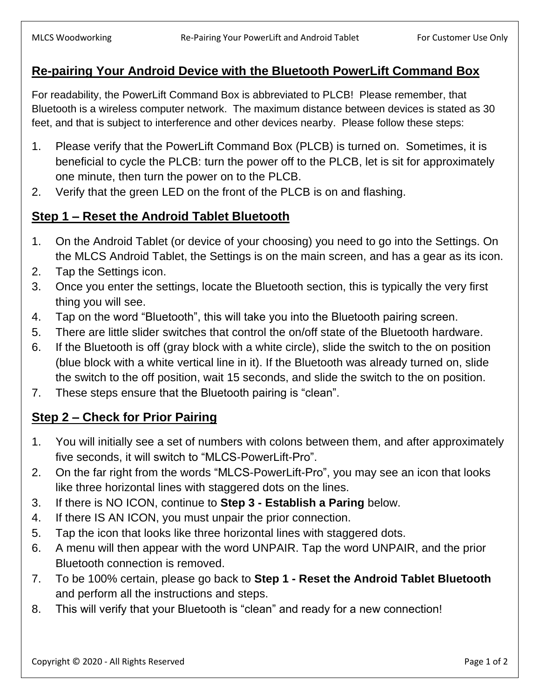## **Re-pairing Your Android Device with the Bluetooth PowerLift Command Box**

For readability, the PowerLift Command Box is abbreviated to PLCB! Please remember, that Bluetooth is a wireless computer network. The maximum distance between devices is stated as 30 feet, and that is subject to interference and other devices nearby. Please follow these steps:

- 1. Please verify that the PowerLift Command Box (PLCB) is turned on. Sometimes, it is beneficial to cycle the PLCB: turn the power off to the PLCB, let is sit for approximately one minute, then turn the power on to the PLCB.
- 2. Verify that the green LED on the front of the PLCB is on and flashing.

## **Step 1 – Reset the Android Tablet Bluetooth**

- 1. On the Android Tablet (or device of your choosing) you need to go into the Settings. On the MLCS Android Tablet, the Settings is on the main screen, and has a gear as its icon.
- 2. Tap the Settings icon.
- 3. Once you enter the settings, locate the Bluetooth section, this is typically the very first thing you will see.
- 4. Tap on the word "Bluetooth", this will take you into the Bluetooth pairing screen.
- 5. There are little slider switches that control the on/off state of the Bluetooth hardware.
- 6. If the Bluetooth is off (gray block with a white circle), slide the switch to the on position (blue block with a white vertical line in it). If the Bluetooth was already turned on, slide the switch to the off position, wait 15 seconds, and slide the switch to the on position.
- 7. These steps ensure that the Bluetooth pairing is "clean".

## **Step 2 – Check for Prior Pairing**

- 1. You will initially see a set of numbers with colons between them, and after approximately five seconds, it will switch to "MLCS-PowerLift-Pro".
- 2. On the far right from the words "MLCS-PowerLift-Pro", you may see an icon that looks like three horizontal lines with staggered dots on the lines.
- 3. If there is NO ICON, continue to **Step 3 - Establish a Paring** below.
- 4. If there IS AN ICON, you must unpair the prior connection.
- 5. Tap the icon that looks like three horizontal lines with staggered dots.
- 6. A menu will then appear with the word UNPAIR. Tap the word UNPAIR, and the prior Bluetooth connection is removed.
- 7. To be 100% certain, please go back to **Step 1 - Reset the Android Tablet Bluetooth** and perform all the instructions and steps.
- 8. This will verify that your Bluetooth is "clean" and ready for a new connection!